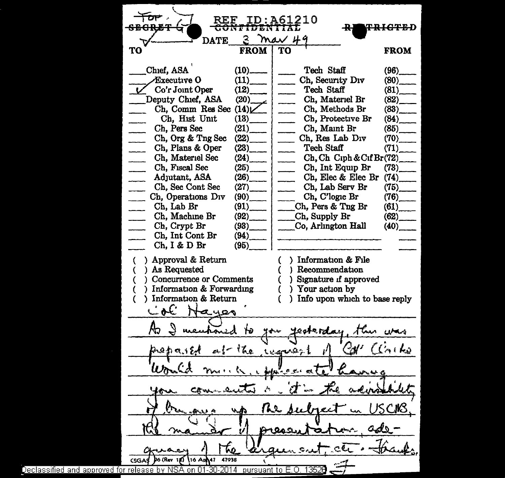$\begin{array}{|c|c|c|c|}\n\hline\n\text{For} & \text{REF ID: A61210}\n\hline\n\text{seograf} & \text{CohrIDENTHA:} \n\end{array}$  $\checkmark$ <u>ID:A612</u>10 <del>TRICTE</del>D 3 May 49<br>ROM TO DATE TO FROM FROM  $\Box$  Chief, ASA  $(10)$ Tech Staff (96)  $\text{Execute } 0$  (11) Ch, Security Div (80)<br>Tech Staff (81) Co'r Joint Oper (12)<br>eputy Chief, ASA (20) Tech Staff Deputy Chief, ASA Ch, Materiel Br (82)<sub>.</sub><br>Ch, Methods Br (83)<sub>.</sub><br>Ch, Protective Br (84) Ch, Comm Res Sec  $(14)$ .<br>Ch. Hist Unit  $(13)$ . Ch, Hist Unit Ch, Protective Br Ch, Pers Sec  $(21)$ <br>Ch. Org & Tng Sec  $(22)$ Ch, Maint Br  $(85)$ <br>Ch. Res Lab Div  $(70)$ Ch. Res Lab Div Ch, Org & Tng Sec (22)<br>Ch, Plans & Oper (23) Tech Staff (71) Ch, Plans & Oper Ch, Materiel Sec (24)<sub>.</sub><br>Ch. Fiscal Sec (25) Ch,Ch Ciph&CifBr(72)\_ Ch, Int Equip Br (73) Ch, Fiscal Sec Adjutant, ASA (26)<br>Ch, Sec Cont Sec (27) Ch, Elec & Elec Br (74)\_ Ch, Sec Cont Sec Ch, Lab Serv Br (75)  $\begin{array}{cc} \text{Ch, Operations Div} & (90) \\ \text{Ch. Lab Br} & (91) \end{array}$ Ch, C'logic Br (76)<br>h. Pers & Tng Br (61) Ch, Lab Br  $(91)$ <br>Ch, Machine Br  $(92)$  $\begin{array}{lll}$ Ch, Pers & Tng Br (61)<sub>.</sub><br>Ch, Supply Br (62) Ch, Machine Br  $\begin{bmatrix} Ch, \text{Supply Br} \\ Co, \text{Arington Hall} \end{bmatrix}$  (62) Ch, Crypt Br (93)<sub>Ch</sub>, Int Cont Br (94) Co, Arlington Hall Ch, Int Cont Br  $(94)$ <br>Ch, I & D Br  $(95)$  $Ch. I & D Br$ Approval & Return ( ) Information & File As Requested { ) Recommendation **Concurrence or Comments** Signature if approved Information & Forwarding Your action by Information & Return Info upon which to base reply  $\mathcal{L}$  oc aues Љ esterd 'તુ≀  $\text{batch}$  $A \cup B$ Tre worsen Won 6 元 1 最も Tro. po (Rev 12) 16 Ap 47  $ccad$ 47938 Declassified and approved for release by NSA on 01-30-2014  $\,$  pursuant to E.O. 1352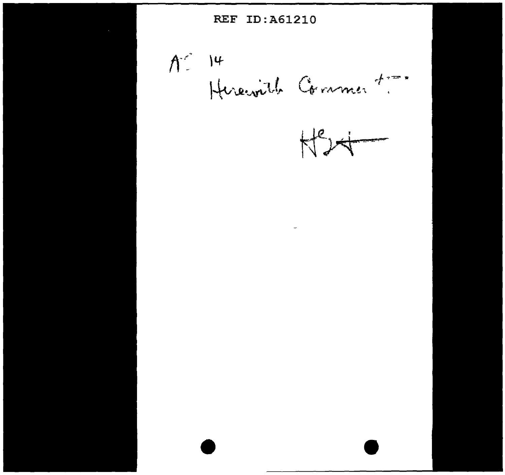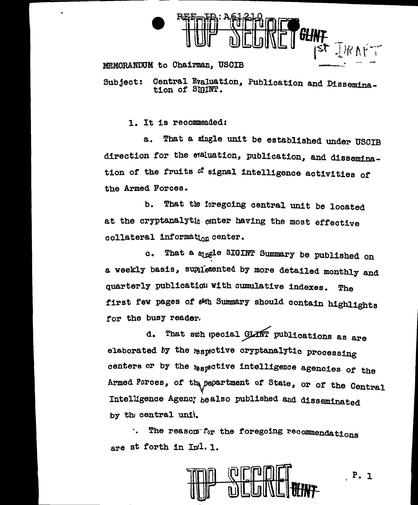

## MEMORANDUM to Chairman, USCIB

Subject: Central Evaluation, Publication and Dissemination of SIGINT.

1. It is recommended:

a. That a single unit be established under USCIB direction for the etaluation, publication, and dissemination of the fruits of signal intelligence activities of the Armed Forces.

b. That the foregoing central unit be located at the cryptanalytic center having the most effective collateral information center.

c. That a stngle SIGINT Summary be published on a weekly basis, supplemented by more detailed monthly and quarterly publication with cumulative indexes. The first few pages of ath Summary should contain highlights tor the busy reader.

d. That suh special GLANT publications as are elaborated by the respective cryptanalytic processing centers or by the *t*ospective intelligence agencies of the Armed Forces, of the pepartment of State, or of the Central Intelligence Agency be also published and disseminated by the central unit.

The reason for the foregoing recommendations are st forth in  $Inil.$  1.

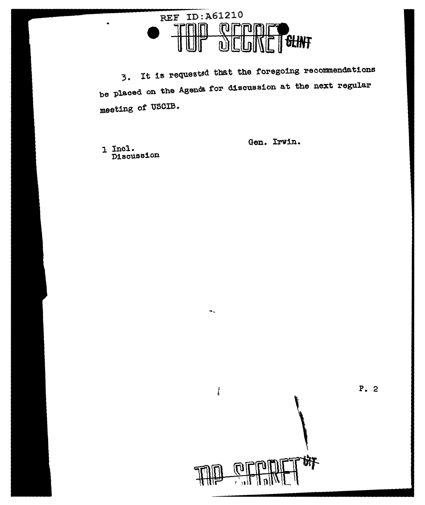

3. It is requested that the foregoing recommendations be placed on the Agenda. for discussion at the next regular meeting of' USCIB.

щ.,

 $\int\limits_{0}^{b}$ 

1 Incl. Discussion Gen. Irwin.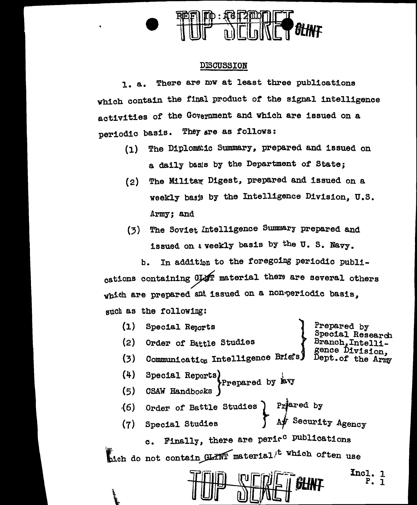

## DlSOUSSION

1. a. There are now at least three publications which contain the final product *ot* the signal intelligence activities or the Government and which are issued on a periodic basis. They are as follows:

- (1) The Diplomatic Summary, prepared and issued on a daily basis by the Department of State:
- $(2)$  The Militar Digest, prepared and issued on a weekly basis by the Intelligence Division, U.S. Army; and
- (3) The Soviet Intelligence Summary prepared and issued on a weekly basis by the U.S. Navy.

b. In addition to the foregoing periodic publications containing GLAT material there are several others which are prepared and issued on a non-periodic basis. such as the following:

(1) (2) (3) (4) (5) .(6) (7) Special Reports } Order of Battle Studies Communication Intelligence Briefs) Special Reports<br>
Prepared by Evy CSAW Handbooks Prepared by Special Research Branch, Intelligence Division Dept.of the Army Order of Battle Studies  $\begin{cases} \text{Pr}^{\bullet} \\ \text{Pr}^{\bullet} \end{cases}$ Order of Battle Studies Priered by<br>Special Studies (Afr Security Agency c. Finally, there are perir<sup>c</sup> publications hich do not contain GLINT material<sup>t which</sup> often use Incl. 1 P. l

 $\ddot{\phantom{0}}$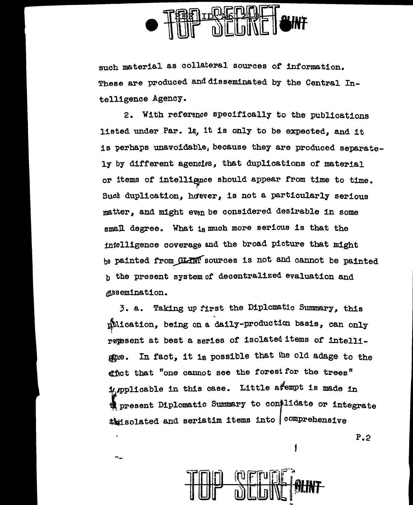

such material as collateral sources of information. These are produced and disseminated by the Central Intelligence Agency.

2. With reference specifically to the publications listed under Par. 1q, it is only to be expected, and it is perhaps unavoidable, because they are produced separately by different agencies, that duplications of material or items of intellignce should appear from time to time. Such duplication, hower, is not a particularly serious matter, and might even be considered desirable in some small degree. What is much more serious is that the intelligence coverage and the broad picture that might be painted from GLANT sources is not and cannot be painted b the present systemof' decentralized evaluation and ~ssemination.

3. a. Taking up first the Diplomatic Summary, this ~11cat1on, being on a daily-production basis, can only repesent at best a series of isolated items of intelligine. In fact, it is possible that the old adage to the gict that "one cannot see the forest for the trees" impplicable in this case. Little aftempt is made in the present Diplomatic Summary to con)lidate or integrate that solated and seriatim items into  $\int$  comprehensive



w,

f

P.2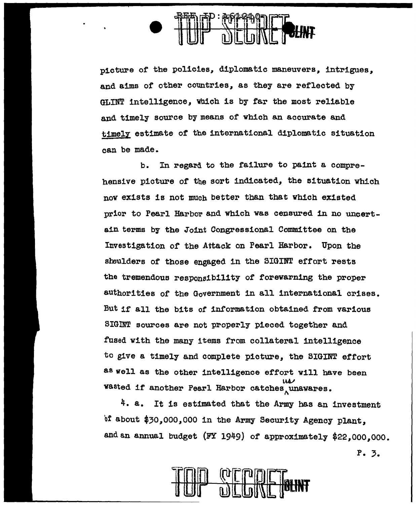

picture of the policies, diplomatic maneuvers, intrigues, and aims of other countries, as they are reflected by GLINT intelligence, vbieh is by far the most reliable and timely source by means of which an accurate and timely estimate of the international diplomatic situation can be made.

 $b$ . In regard to the failure to paint a comprehensive picture of the sort indicated, the situation which now exists is not much better than that which existed prior to Pearl Harbor and which was censured in no uncertain terms by the Joint Congressional Committee on the Investigation of the Attack on Pearl Harbor. Upon the shoulders of those engaged in the SIGINT effort rests the tremendous responsibility of forewarning the proper authorities of the Government in all international crises. But if all the bits of information obtained from various SIGlNT sources are not properly pieced together and fused with the many items from collateral intelligence to give a timely and complete picture, the 8IGINT effort as well as the other intelligence effort will have been **WASted if another Pearl Harbor catches unawares.** 

 $4. a.$  It is estimated that the Army has an investment of about \$30,000,000 in the Army Security Agency plant, and an annual budget (FY 1949) of approximately \$22,000,000.

P. 3.

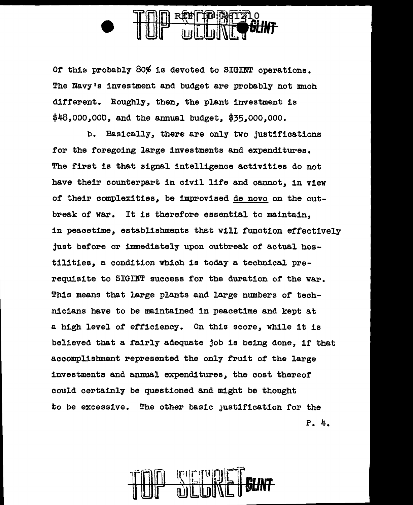Of this probably 80% is devoted to SIGINT operations. The Navy's investment and budget are probably not much different. Roughly, then, the plant investment is \$48,ooo,ooo, and the annual budget, \$35,000,000.

b. Basically, there are only tvo justifications for the foregoing large investments and expenditures. The first is that signal intelligence activities do not have their counterpart in civil life and cannot, in viev *ot* their complexities, be improvised de novo on the outbreak of war. It is therefore essential to maintain, in peacetime, establishments that Will function effectively just before or immediately upon outbreak of actual hostilities, a condition which is today a technical prerequisite to SIGINT success for the duration of the war. This means that large plants and large numbers or technicians have to be maintained in peacetime and kept at a high level of efficiency. On this score, while it is believed that a fairly adequate job is being done, if that accomplishment represented the only fruit of the large investments and annual expenditures, the cost thereof could certainly be questioned and might be thought to be excessive. The other basic Justification for the P. 4.

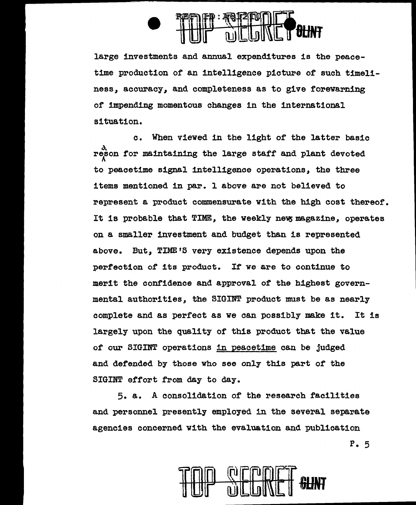

large investments and annual expenditures is the peacetime production of an intelligence picture of such timeliness, accuracy, and completeness as to give forewarning of impending momentous changes in the international situation.

c. When viewed in the light of the latter basic reson for maintaining the large staff and plant devoted to peacetime signal intelligence operations, the three items mentioned in par. 1 above are not believed to represent a product commensurate with the high cost thereof. It is probable that TIME, the weekly new magazine, operates on a smaller investment and budget than is represented above. But, TIME'S very existence depends upon the perfection of its product. If we are to continue to merit the confidence and approval of the highest governmental authorities, the SIGINT product must be as nearly complete and as perfect as we can possibly make it. It is largely upon the quality of this product that the value of our SIGINT operations 1n peacetime can be judged and defended by those who see only this part of the SIGINT effort from day to day.

5. a. A consolidation of the research facilities and personnel presently employed in the several separate agencies concerned with the evaluation and publication



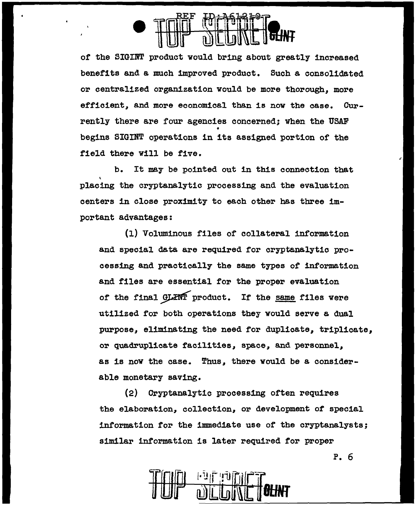

*ot* the SIGINT product would bring about greatly increased benefits and a much improved product. Such a consolidated or centralized organization would be more thorough, more efficient, and more economical than is now the case. Currently there are four agencies concerned; when the USAF • begins SIGINT operations in its assigned portion of the field there will be five.

b. It may be pointed out in this connection that placing the cryptanalytic processing and the evaluation centers in close proximity to each other has three important advantages:

(1) Voluminous files of collateral information and special data are required for cryptanalytic processing and practically the same types *ot* information and files are essential for the proper evaluation of the final GLINT product. If the same files were utilized for both operations they would serve a dual purpose, eliminating the need for duplicate, triplicate, or quadruplicate facilities, space, and personnel, as is now the case. Thus, there would be a considerable monetary saving.

(2) Cryptanalytic processing often requires the elaboration, collection, or development of special information for the immediate use of the cryptanalysts; similar information is later required for proper

P. 6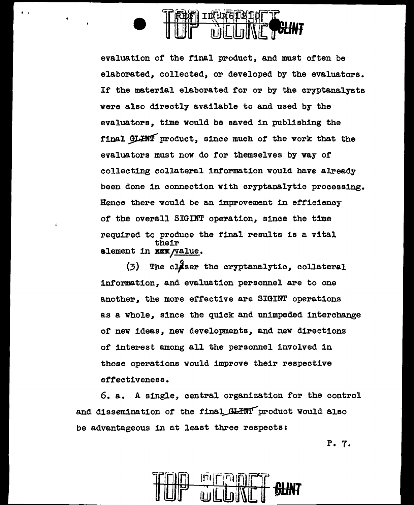

• •

 $\lambda$ 

evaluation of the final product, and must often be elaborated, collected, or developed by the evaluators. If the material elaborated for or by the cryptanalysts were also directly available to and used by the evaluators, time would be saved in publishing the final GLHNT product, since much of the work that the evaluators must now do for themselves by way of collecting collateral information would have already been done in connection with cryptanalytic processing. Hence there would be an improvement in efficiency of the overall SIGINT operation, since the time required to produce the final results is a vital their element in NEX /value.

 $(3)$  The claser the cryptanalytic, collateral information, and evaluation personnel are to one another, the more effective are SIGINT operations as a whole, since the quick and unimpeded interchange of new ideas, new developments, and new directions of interest among all the personnel involved in those operations would improve their respective effectiveness.

6. a. A single, central organization for the control and dissemination of the final GLINT product would also be advantageous in at least three respects:

P. 7.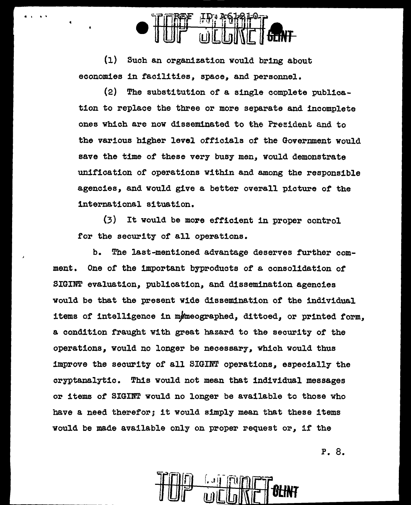

(l} Such an organization would bring about economies in taoilities, space, and personnel.

. . . . .<br>. . . . .

(2) The substitution of a single complete publication to replace the three or more separate and incomplete ones which are now disseminated to the President and to the various higher level officials of the Government would save the time of these very busy men, would demonstrate unit1cat1on or operations within and among the responsible agencies, and would give a better overall picture of the international situation.

(3) It would be more efficient in proper control tor the security of all operations.

b. The last-mentioned advantage deserves further comment. One *ot* the important byproducts of a consolidation of SIGINT evaluation, publication, and dissemination agencies would be that the present Wide dissemination *ot* the individual items of intelligence in memeographed, dittoed, or printed form. a condition fraught with great hazard to the security of the operations, would no longer be necessary, which would thus improve the security of all SIGINT operations, especially the cryptanalytic. This would not mean that individual messages or items *ot* SIGINT would no longer be available to those who have a need therefor; it would simply mean that these items would be made available only on proper request or, if the

P. 8.